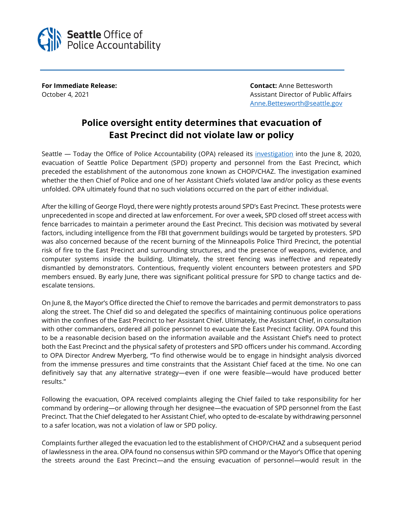

**For Immediate Release: Contact:** Anne Bettesworth October 4, 2021 **Assistant Director of Public Affairs** Assistant Director of Public Affairs [Anne.Bettesworth@seattle.gov](mailto:Anne.Bettesworth@seattle.gov)

## **Police oversight entity determines that evacuation of East Precinct did not violate law or policy**

Seattle — Today the Office of Police Accountability (OPA) released its [investigation](https://www.seattle.gov/Documents/Departments/OPA/ClosedCaseSummaries/2020OPA-0354ccs093021.pdf) into the June 8, 2020, evacuation of Seattle Police Department (SPD) property and personnel from the East Precinct, which preceded the establishment of the autonomous zone known as CHOP/CHAZ. The investigation examined whether the then Chief of Police and one of her Assistant Chiefs violated law and/or policy as these events unfolded. OPA ultimately found that no such violations occurred on the part of either individual.

After the killing of George Floyd, there were nightly protests around SPD's East Precinct. These protests were unprecedented in scope and directed at law enforcement. For over a week, SPD closed off street access with fence barricades to maintain a perimeter around the East Precinct. This decision was motivated by several factors, including intelligence from the FBI that government buildings would be targeted by protesters. SPD was also concerned because of the recent burning of the Minneapolis Police Third Precinct, the potential risk of fire to the East Precinct and surrounding structures, and the presence of weapons, evidence, and computer systems inside the building. Ultimately, the street fencing was ineffective and repeatedly dismantled by demonstrators. Contentious, frequently violent encounters between protesters and SPD members ensued. By early June, there was significant political pressure for SPD to change tactics and deescalate tensions.

On June 8, the Mayor's Office directed the Chief to remove the barricades and permit demonstrators to pass along the street. The Chief did so and delegated the specifics of maintaining continuous police operations within the confines of the East Precinct to her Assistant Chief. Ultimately, the Assistant Chief, in consultation with other commanders, ordered all police personnel to evacuate the East Precinct facility. OPA found this to be a reasonable decision based on the information available and the Assistant Chief's need to protect both the East Precinct and the physical safety of protesters and SPD officers under his command. According to OPA Director Andrew Myerberg, "To find otherwise would be to engage in hindsight analysis divorced from the immense pressures and time constraints that the Assistant Chief faced at the time. No one can definitively say that any alternative strategy—even if one were feasible—would have produced better results."

Following the evacuation, OPA received complaints alleging the Chief failed to take responsibility for her command by ordering—or allowing through her designee—the evacuation of SPD personnel from the East Precinct. That the Chief delegated to her Assistant Chief, who opted to de-escalate by withdrawing personnel to a safer location, was not a violation of law or SPD policy.

Complaints further alleged the evacuation led to the establishment of CHOP/CHAZ and a subsequent period of lawlessness in the area. OPA found no consensus within SPD command or the Mayor's Office that opening the streets around the East Precinct—and the ensuing evacuation of personnel—would result in the